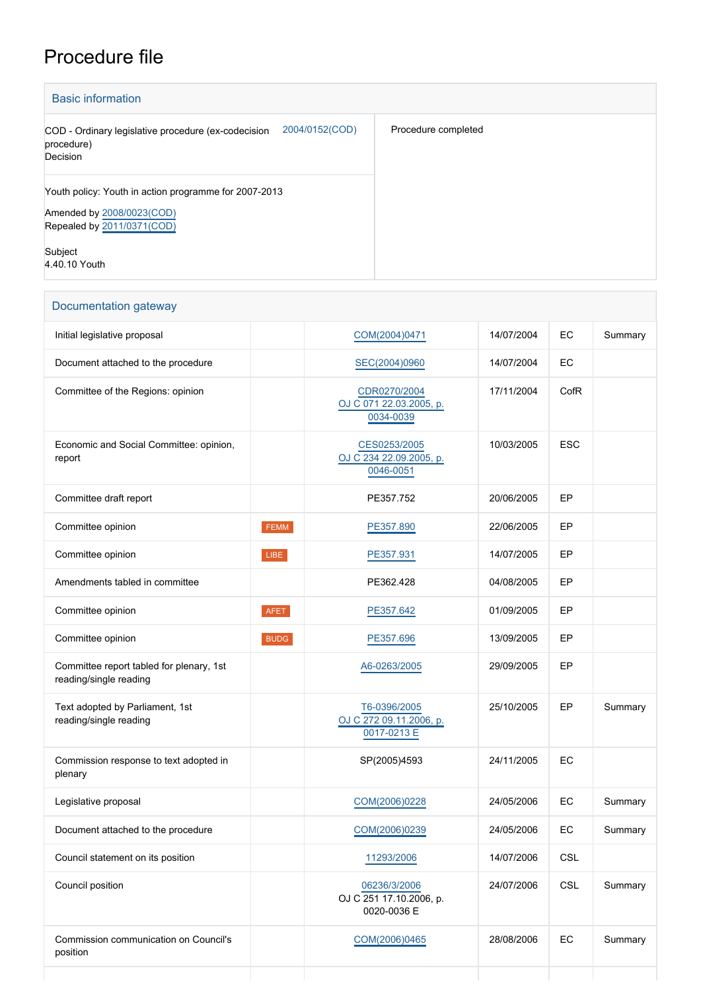## Procedure file

| <b>Basic information</b>                                                                                         |                     |  |  |  |
|------------------------------------------------------------------------------------------------------------------|---------------------|--|--|--|
| 2004/0152(COD)<br>COD - Ordinary legislative procedure (ex-codecision<br>procedure)<br>Decision                  | Procedure completed |  |  |  |
| Youth policy: Youth in action programme for 2007-2013<br>Amended by 2008/0023(COD)<br>Repealed by 2011/0371(COD) |                     |  |  |  |
| Subject<br>4.40.10 Youth                                                                                         |                     |  |  |  |

| Documentation gateway                                              |             |                                                        |            |            |         |
|--------------------------------------------------------------------|-------------|--------------------------------------------------------|------------|------------|---------|
| Initial legislative proposal                                       |             | COM(2004)0471                                          | 14/07/2004 | EC         | Summary |
| Document attached to the procedure                                 |             | SEC(2004)0960                                          | 14/07/2004 | EC         |         |
| Committee of the Regions: opinion                                  |             | CDR0270/2004<br>OJ C 071 22.03.2005, p.<br>0034-0039   | 17/11/2004 | CofR       |         |
| Economic and Social Committee: opinion,<br>report                  |             | CES0253/2005<br>OJ C 234 22.09.2005, p.<br>0046-0051   | 10/03/2005 | <b>ESC</b> |         |
| Committee draft report                                             |             | PE357.752                                              | 20/06/2005 | EP         |         |
| Committee opinion                                                  | FEMM        | PE357.890                                              | 22/06/2005 | EP         |         |
| Committee opinion                                                  | LIBE        | PE357.931                                              | 14/07/2005 | EP         |         |
| Amendments tabled in committee                                     |             | PE362.428                                              | 04/08/2005 | EP         |         |
| Committee opinion                                                  | <b>AFET</b> | PE357.642                                              | 01/09/2005 | EP         |         |
| Committee opinion                                                  | <b>BUDG</b> | PE357.696                                              | 13/09/2005 | EP         |         |
| Committee report tabled for plenary, 1st<br>reading/single reading |             | A6-0263/2005                                           | 29/09/2005 | EP         |         |
| Text adopted by Parliament, 1st<br>reading/single reading          |             | T6-0396/2005<br>OJ C 272 09.11.2006, p.<br>0017-0213 E | 25/10/2005 | EP         | Summary |
| Commission response to text adopted in<br>plenary                  |             | SP(2005)4593                                           | 24/11/2005 | EC         |         |
| Legislative proposal                                               |             | COM(2006)0228                                          | 24/05/2006 | EC         | Summary |
| Document attached to the procedure                                 |             | COM(2006)0239                                          | 24/05/2006 | EC         | Summary |
| Council statement on its position                                  |             | 11293/2006                                             | 14/07/2006 | CSL        |         |
| Council position                                                   |             | 06236/3/2006<br>OJ C 251 17.10.2006, p.<br>0020-0036 E | 24/07/2006 | CSL        | Summary |
| Commission communication on Council's<br>position                  |             | COM(2006)0465                                          | 28/08/2006 | EC         | Summary |

÷

L.

 $\mathbb{R}^n$